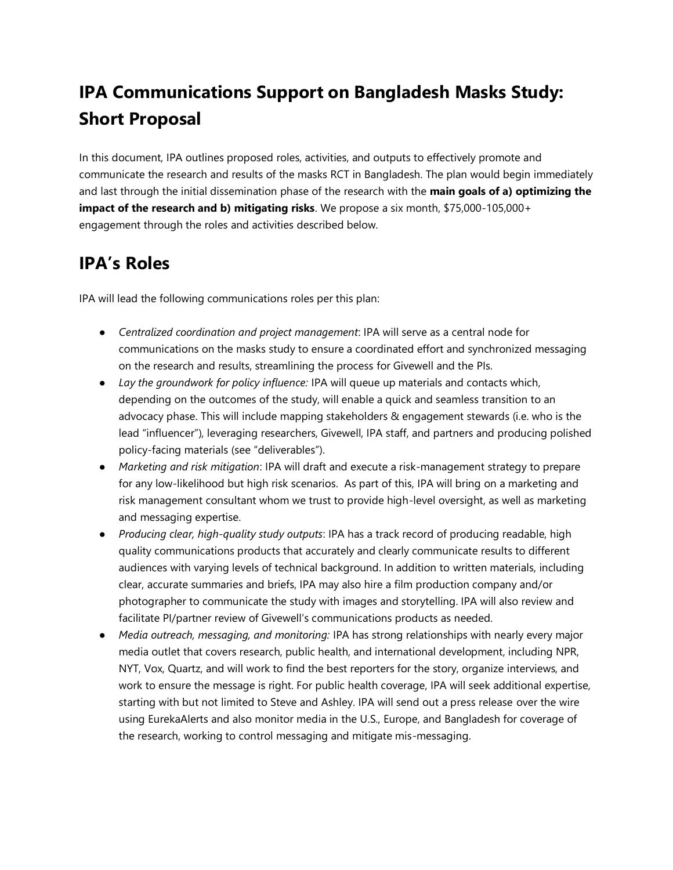# **IPA Communications Support on Bangladesh Masks Study: Short Proposal**

In this document, IPA outlines proposed roles, activities, and outputs to effectively promote and communicate the research and results of the masks RCT in Bangladesh. The plan would begin immediately and last through the initial dissemination phase of the research with the **main goals of a) optimizing the impact of the research and b) mitigating risks**. We propose a six month, \$75,000-105,000+ engagement through the roles and activities described below.

### **IPA's Roles**

IPA will lead the following communications roles per this plan:

- *Centralized coordination and project management*: IPA will serve as a central node for communications on the masks study to ensure a coordinated effort and synchronized messaging on the research and results, streamlining the process for Givewell and the PIs.
- *Lay the groundwork for policy influence:* IPA will queue up materials and contacts which, depending on the outcomes of the study, will enable a quick and seamless transition to an advocacy phase. This will include mapping stakeholders & engagement stewards (i.e. who is the lead "influencer"), leveraging researchers, Givewell, IPA staff, and partners and producing polished policy-facing materials (see "deliverables").
- *Marketing and risk mitigation*: IPA will draft and execute a risk-management strategy to prepare for any low-likelihood but high risk scenarios. As part of this, IPA will bring on a marketing and risk management consultant whom we trust to provide high-level oversight, as well as marketing and messaging expertise.
- *Producing clear, high-quality study outputs*: IPA has a track record of producing readable, high quality communications products that accurately and clearly communicate results to different audiences with varying levels of technical background. In addition to written materials, including clear, accurate summaries and briefs, IPA may also hire a film production company and/or photographer to communicate the study with images and storytelling. IPA will also review and facilitate PI/partner review of Givewell's communications products as needed.
- *Media outreach, messaging, and monitoring:* IPA has strong relationships with nearly every major media outlet that covers research, public health, and international development, including NPR, NYT, Vox, Quartz, and will work to find the best reporters for the story, organize interviews, and work to ensure the message is right. For public health coverage, IPA will seek additional expertise, starting with but not limited to Steve and Ashley. IPA will send out a press release over the wire using EurekaAlerts and also monitor media in the U.S., Europe, and Bangladesh for coverage of the research, working to control messaging and mitigate mis-messaging.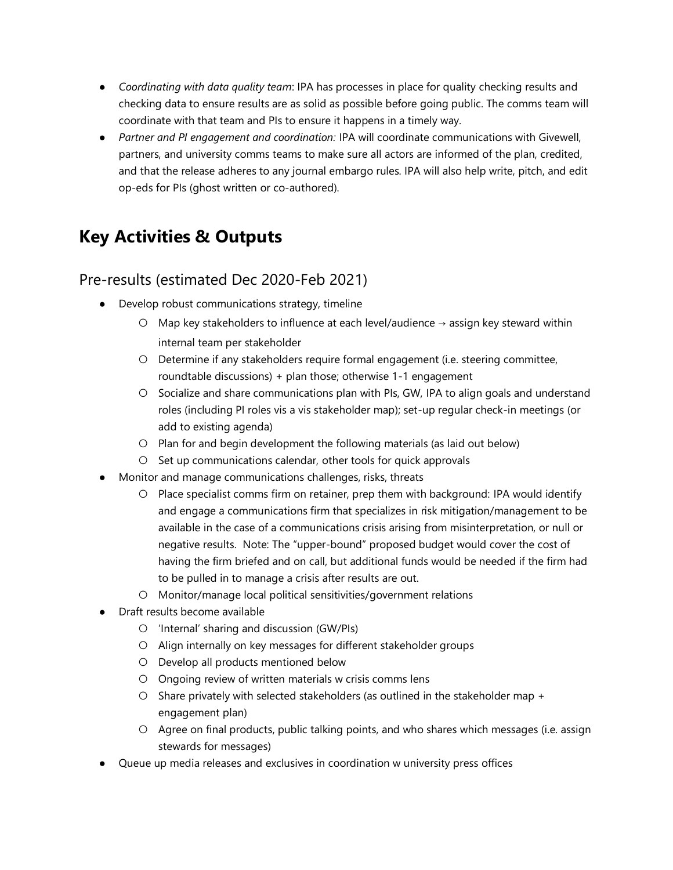- *Coordinating with data quality team*: IPA has processes in place for quality checking results and checking data to ensure results are as solid as possible before going public. The comms team will coordinate with that team and PIs to ensure it happens in a timely way.
- *Partner and PI engagement and coordination:* IPA will coordinate communications with Givewell, partners, and university comms teams to make sure all actors are informed of the plan, credited, and that the release adheres to any journal embargo rules. IPA will also help write, pitch, and edit op-eds for PIs (ghost written or co-authored).

# **Key Activities & Outputs**

#### Pre-results (estimated Dec 2020-Feb 2021)

- Develop robust communications strategy, timeline
	- Map key stakeholders to influence at each level/audience → assign key steward within internal team per stakeholder
	- Determine if any stakeholders require formal engagement (i.e. steering committee, roundtable discussions) + plan those; otherwise 1-1 engagement
	- Socialize and share communications plan with PIs, GW, IPA to align goals and understand roles (including PI roles vis a vis stakeholder map); set-up regular check-in meetings (or add to existing agenda)
	- Plan for and begin development the following materials (as laid out below)
	- Set up communications calendar, other tools for quick approvals
- Monitor and manage communications challenges, risks, threats
	- Place specialist comms firm on retainer, prep them with background: IPA would identify and engage a communications firm that specializes in risk mitigation/management to be available in the case of a communications crisis arising from misinterpretation, or null or negative results. Note: The "upper-bound" proposed budget would cover the cost of having the firm briefed and on call, but additional funds would be needed if the firm had to be pulled in to manage a crisis after results are out.
	- Monitor/manage local political sensitivities/government relations
- Draft results become available
	- 'Internal' sharing and discussion (GW/PIs)
	- Align internally on key messages for different stakeholder groups
	- Develop all products mentioned below
	- Ongoing review of written materials w crisis comms lens
	- $\circ$  Share privately with selected stakeholders (as outlined in the stakeholder map + engagement plan)
	- Agree on final products, public talking points, and who shares which messages (i.e. assign stewards for messages)
- Queue up media releases and exclusives in coordination w university press offices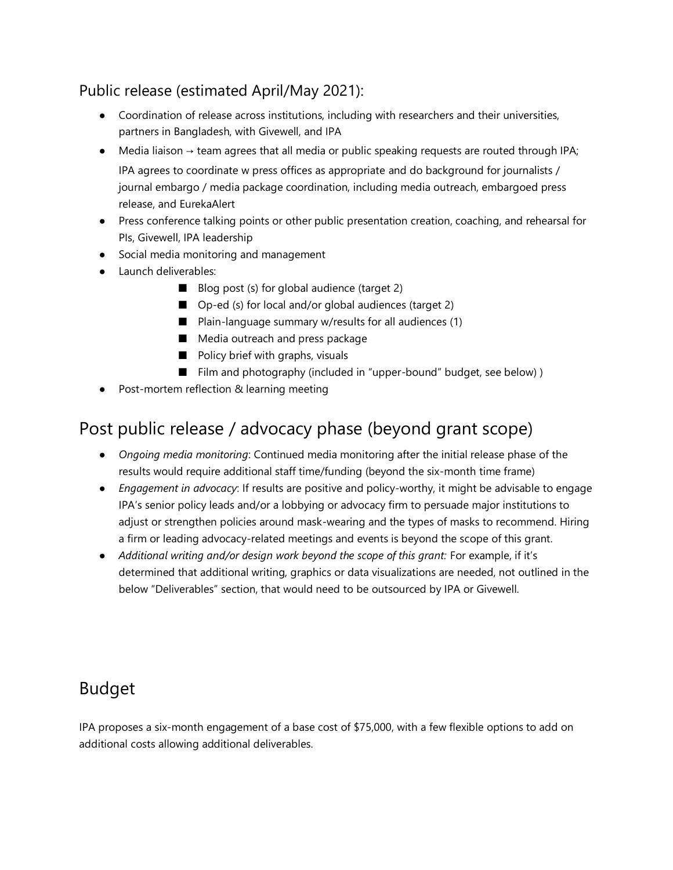#### Public release (estimated April/May 2021):

- Coordination of release across institutions, including with researchers and their universities, partners in Bangladesh, with Givewell, and IPA
- $\bullet$  Media liaison  $\rightarrow$  team agrees that all media or public speaking requests are routed through IPA; IPA agrees to coordinate w press offices as appropriate and do background for journalists / journal embargo / media package coordination, including media outreach, embargoed press release, and EurekaAlert
- Press conference talking points or other public presentation creation, coaching, and rehearsal for PIs, Givewell, IPA leadership
- Social media monitoring and management
- Launch deliverables:
	- Blog post (s) for global audience (target 2)
	- Op-ed (s) for local and/or global audiences (target 2)
	- Plain-language summary w/results for all audiences (1)
	- Media outreach and press package
	- Policy brief with graphs, visuals
	- Film and photography (included in "upper-bound" budget, see below))
- Post-mortem reflection & learning meeting

### Post public release / advocacy phase (beyond grant scope)

- *Ongoing media monitoring*: Continued media monitoring after the initial release phase of the results would require additional staff time/funding (beyond the six-month time frame)
- *Engagement in advocacy*: If results are positive and policy-worthy, it might be advisable to engage IPA's senior policy leads and/or a lobbying or advocacy firm to persuade major institutions to adjust or strengthen policies around mask-wearing and the types of masks to recommend. Hiring a firm or leading advocacy-related meetings and events is beyond the scope of this grant.
- *Additional writing and/or design work beyond the scope of this grant:* For example, if it's determined that additional writing, graphics or data visualizations are needed, not outlined in the below "Deliverables" section, that would need to be outsourced by IPA or Givewell.

### Budget

IPA proposes a six-month engagement of a base cost of \$75,000, with a few flexible options to add on additional costs allowing additional deliverables.